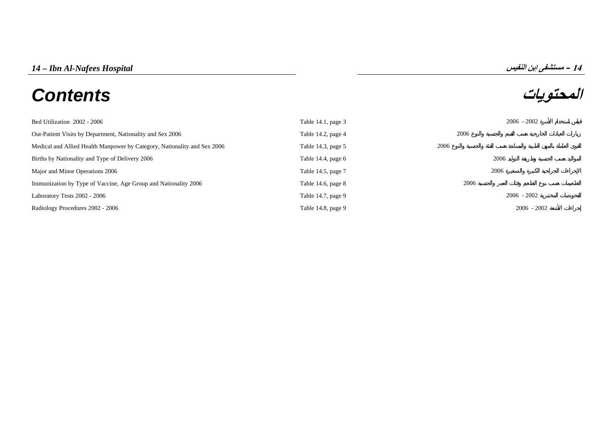# **المحتويات** *Contents*



| Bed Utilization 2002 - 2006                                              | Table $14.1$ , page 3 | $2006 - 2002$ |               |
|--------------------------------------------------------------------------|-----------------------|---------------|---------------|
| Out-Patient Visits by Department, Nationality and Sex 2006               | Table 14.2, page 4    | 2006          |               |
| Medical and Allied Health Manpower by Category, Nationality and Sex 2006 | Table 14.3, page 5    | 2006          |               |
| Births by Nationality and Type of Delivery 2006                          | Table 14.4, page $6$  | 2006          |               |
| Major and Minor Operations 2006                                          | Table 14.5, page 7    | 2006          |               |
| Immunization by Type of Vaccine, Age Group and Nationality 2006          | Table 14.6, page $8$  | 2006          |               |
| Laboratory Tests 2002 - 2006                                             | Table 14.7, page 9    | $2006 - 2002$ |               |
| Radiology Procedures 2002 - 2006                                         | Table 14.8, page 9    |               | $2006 - 2002$ |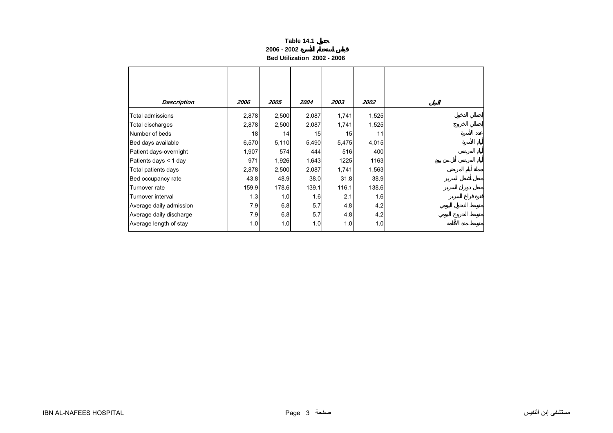## **Table 14.1 2006 - 2002Bed Utilization 2002 - 2006**

<span id="page-1-0"></span>

| <b>Description</b>      | 2006  | 2005  | 2004  | 2003  | <i><b>2002</b></i> |
|-------------------------|-------|-------|-------|-------|--------------------|
| Total admissions        | 2,878 | 2,500 | 2,087 | 1,741 | 1,525              |
| Total discharges        | 2,878 | 2,500 | 2,087 | 1,741 | 1,525              |
| Number of beds          | 18    | 14    | 15    | 15    | 11                 |
| Bed days available      | 6,570 | 5,110 | 5,490 | 5,475 | 4,015              |
| Patient days-overnight  | 1,907 | 574   | 444   | 516   | 400                |
| Patients days < 1 day   | 971   | 1,926 | 1,643 | 1225  | 1163               |
| Total patients days     | 2,878 | 2,500 | 2,087 | 1,741 | 1,563              |
| Bed occupancy rate      | 43.8  | 48.9  | 38.0  | 31.8  | 38.9               |
| Turnover rate           | 159.9 | 178.6 | 139.1 | 116.1 | 138.6              |
| Turnover interval       | 1.3   | 1.0   | 1.6   | 2.1   | 1.6                |
| Average daily admission | 7.9   | 6.8   | 5.7   | 4.8   | 4.2                |
| Average daily discharge | 7.9   | 6.8   | 5.7   | 4.8   | 4.2                |
| Average length of stay  | 1.0   | 1.0   | 1.0   | 1.0   | 1.0                |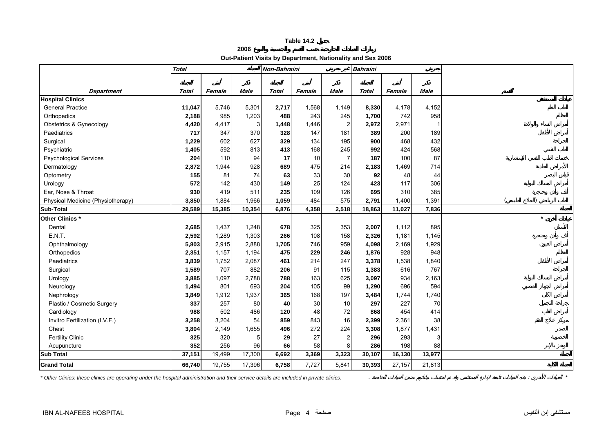# **Out-Patient Visits by Department, Nationality and Sex 2006**

**2006**

<span id="page-2-0"></span>

|                                   | <b>Total</b> |        |             | Non-Bahraini |        |                | <b>Bahraini</b> |        |             |         |
|-----------------------------------|--------------|--------|-------------|--------------|--------|----------------|-----------------|--------|-------------|---------|
|                                   |              |        |             |              |        |                |                 |        |             |         |
| <b>Department</b>                 | Total        | Female | <b>Male</b> | <b>Total</b> | Female | <b>Male</b>    | <b>Total</b>    | Female | <b>Male</b> |         |
| <b>Hospital Clinics</b>           |              |        |             |              |        |                |                 |        |             |         |
| <b>General Practice</b>           | 11,047       | 5,746  | 5,301       | 2,717        | 1,568  | 1,149          | 8,330           | 4,178  | 4,152       |         |
| Orthopedics                       | 2,188        | 985    | 1,203       | 488          | 243    | 245            | 1,700           | 742    | 958         |         |
| Obstetrics & Gynecology           | 4,420        | 4,417  | 3           | 1,448        | 1,446  | $\overline{2}$ | 2,972           | 2,971  | 1           |         |
| Paediatrics                       | 717          | 347    | 370         | 328          | 147    | 181            | 389             | 200    | 189         |         |
| Surgical                          | 1,229        | 602    | 627         | 329          | 134    | 195            | 900             | 468    | 432         |         |
| Psychiatric                       | 1,405        | 592    | 813         | 413          | 168    | 245            | 992             | 424    | 568         |         |
| <b>Psychological Services</b>     | 204          | 110    | 94          | 17           | 10     | 7              | 187             | 100    | 87          |         |
| Dermatology                       | 2,872        | 1,944  | 928         | 689          | 475    | 214            | 2,183           | 1,469  | 714         |         |
| Optometry                         | 155          | 81     | 74          | 63           | 33     | 30             | 92              | 48     | 44          |         |
| Urology                           | 572          | 142    | 430         | 149          | 25     | 124            | 423             | 117    | 306         |         |
| Ear, Nose & Throat                | 930          | 419    | 511         | 235          | 109    | 126            | 695             | 310    | 385         |         |
| Physical Medicine (Physiotherapy) | 3,850        | 1,884  | 1,966       | 1,059        | 484    | 575            | 2,791           | 1,400  | 1,391       |         |
| <b>Sub-Total</b>                  | 29,589       | 15,385 | 10,354      | 6,876        | 4,358  | 2,518          | 18,863          | 11,027 | 7,836       |         |
| Other Clinics *                   |              |        |             |              |        |                |                 |        |             | $\star$ |
| Dental                            | 2,685        | 1,437  | 1,248       | 678          | 325    | 353            | 2,007           | 1,112  | 895         |         |
| E.N.T.                            | 2,592        | 1,289  | 1,303       | 266          | 108    | 158            | 2,326           | 1,181  | 1,145       |         |
| Ophthalmology                     | 5,803        | 2,915  | 2,888       | 1,705        | 746    | 959            | 4,098           | 2,169  | 1,929       |         |
| Orthopedics                       | 2,351        | 1,157  | 1,194       | 475          | 229    | 246            | 1,876           | 928    | 948         |         |
| Paediatrics                       | 3,839        | 1,752  | 2,087       | 461          | 214    | 247            | 3,378           | 1,538  | 1,840       |         |
| Surgical                          | 1,589        | 707    | 882         | 206          | 91     | 115            | 1,383           | 616    | 767         |         |
| Urology                           | 3,885        | 1,097  | 2,788       | 788          | 163    | 625            | 3,097           | 934    | 2,163       |         |
| Neurology                         | 1,494        | 801    | 693         | 204          | 105    | 99             | 1,290           | 696    | 594         |         |
| Nephrology                        | 3,849        | 1,912  | 1,937       | 365          | 168    | 197            | 3,484           | 1,744  | 1,740       |         |
| Plastic / Cosmetic Surgery        | 337          | 257    | 80          | 40           | 30     | 10             | 297             | 227    | 70          |         |
| Cardiology                        | 988          | 502    | 486         | 120          | 48     | 72             | 868             | 454    | 414         |         |
| Invitro Fertilization (I.V.F.)    | 3,258        | 3,204  | 54          | 859          | 843    | 16             | 2,399           | 2,361  | 38          |         |
| Chest                             | 3,804        | 2,149  | 1,655       | 496          | 272    | 224            | 3,308           | 1,877  | 1,431       |         |
| <b>Fertility Clinic</b>           | 325          | 320    | 5           | 29           | 27     | $\overline{a}$ | 296             | 293    | 3           |         |
| Acupuncture                       | 352          | 256    | 96          | 66           | 58     | 8              | 286             | 198    | 88          |         |
| <b>Sub Total</b>                  | 37,151       | 19,499 | 17,300      | 6,692        | 3,369  | 3,323          | 30,107          | 16,130 | 13,977      |         |
| <b>Grand Total</b>                | 66,740       | 19,755 | 17,396      | 6,758        | 7,727  | 5,841          | 30,393          | 27,157 | 21,813      |         |

*\* Other Clinics: these clinics are operating under the hospital administration and their service details are included in private clinics.* . : *\**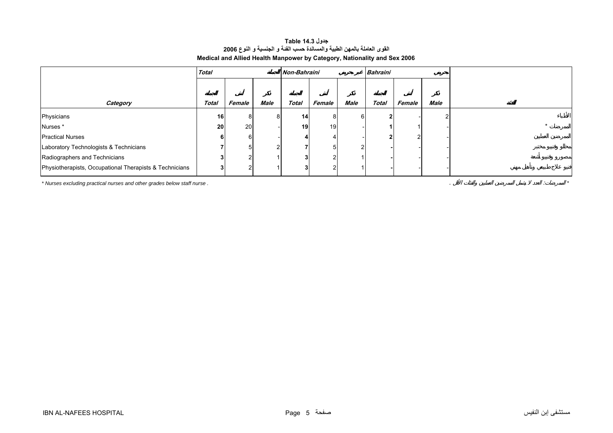# **جدول 14.3 Table القوى العاملة بالمهن الطبية والمساندة حسب الفئة <sup>و</sup> الجنسية <sup>و</sup> النوع <sup>2006</sup> Medical and Allied Health Manpower by Category, Nationality and Sex 2006**

<span id="page-3-0"></span>

|                                                         | <b>Total</b> |        |                | Non-Bahraini    |        |      | <b>Bahraini</b> |        |      |  |
|---------------------------------------------------------|--------------|--------|----------------|-----------------|--------|------|-----------------|--------|------|--|
|                                                         |              |        |                |                 |        |      |                 |        |      |  |
| Category                                                | <b>Total</b> | Female | Male           | <b>Total</b>    | Female | Male | <b>Total</b>    | Female | Male |  |
| Physicians                                              | 16           | 8      | 8              | 14 <sup>1</sup> | 81     |      |                 |        |      |  |
| Nurses*                                                 | 20           | 20     |                | 19              | 19     |      |                 |        |      |  |
| <b>Practical Nurses</b>                                 | 6            | 6      |                |                 |        |      |                 |        |      |  |
| Laboratory Technologists & Technicians                  |              | 5      | $\overline{2}$ |                 |        |      |                 |        |      |  |
| Radiographers and Technicians                           |              |        |                |                 |        |      |                 |        |      |  |
| Physiotherapists, Occupational Therapists & Technicians |              |        |                |                 |        |      |                 |        |      |  |

*\* Nurses excluding practical nurses and other grades below staff nurse .* . : *\**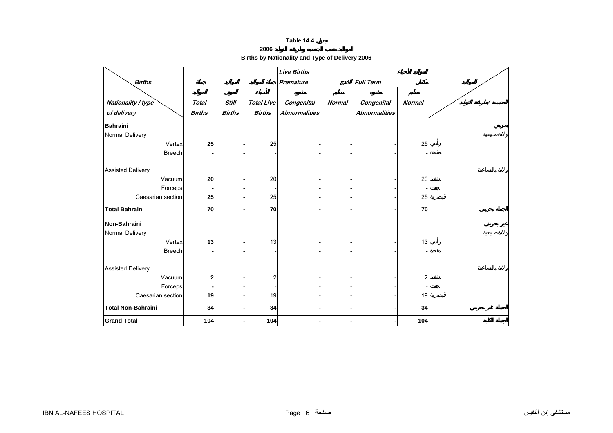**2006** 

**Births by Nationality and Type of Delivery 2006** 

<span id="page-4-0"></span>

|                                   |                               |                               |                                    | <b>Live Births</b>                 |               |                                           |                         |  |
|-----------------------------------|-------------------------------|-------------------------------|------------------------------------|------------------------------------|---------------|-------------------------------------------|-------------------------|--|
| <b>Births</b>                     |                               |                               |                                    | <b>Premature</b>                   |               | <b>Full Term</b>                          |                         |  |
| Nationality / type<br>of delivery | <b>Total</b><br><b>Births</b> | <b>Still</b><br><b>Births</b> | <b>Total Live</b><br><b>Births</b> | Congenital<br><b>Abnormalities</b> | <b>Normal</b> | <b>Congenital</b><br><b>Abnormalities</b> | <b>Normal</b>           |  |
| <b>Bahraini</b>                   |                               |                               |                                    |                                    |               |                                           |                         |  |
| Normal Delivery                   |                               |                               |                                    |                                    |               |                                           |                         |  |
| Vertex                            | 25                            |                               | 25                                 |                                    |               |                                           | 25                      |  |
| <b>Breech</b>                     |                               |                               |                                    |                                    |               |                                           |                         |  |
| <b>Assisted Delivery</b>          |                               |                               |                                    |                                    |               |                                           |                         |  |
| Vacuum                            | 20                            |                               | 20                                 |                                    |               |                                           | 20                      |  |
| Forceps                           |                               |                               |                                    |                                    |               |                                           |                         |  |
| Caesarian section                 | 25                            |                               | 25                                 |                                    |               |                                           | 25                      |  |
| <b>Total Bahraini</b>             | 70                            |                               | 70                                 |                                    |               |                                           | 70                      |  |
| Non-Bahraini                      |                               |                               |                                    |                                    |               |                                           |                         |  |
| Normal Delivery                   |                               |                               |                                    |                                    |               |                                           |                         |  |
| Vertex                            | 13                            |                               | 13                                 |                                    |               |                                           | 13                      |  |
| <b>Breech</b>                     |                               |                               |                                    |                                    |               |                                           |                         |  |
| <b>Assisted Delivery</b>          |                               |                               |                                    |                                    |               |                                           |                         |  |
| Vacuum                            | 2                             |                               | 2                                  |                                    |               |                                           | $\overline{\mathbf{c}}$ |  |
| Forceps                           |                               |                               |                                    |                                    |               |                                           |                         |  |
| Caesarian section                 | 19                            |                               | 19                                 |                                    |               |                                           | 19                      |  |
| <b>Total Non-Bahraini</b>         | 34                            |                               | 34                                 |                                    |               |                                           | 34                      |  |
| <b>Grand Total</b>                | 104                           |                               | 104                                |                                    |               |                                           | 104                     |  |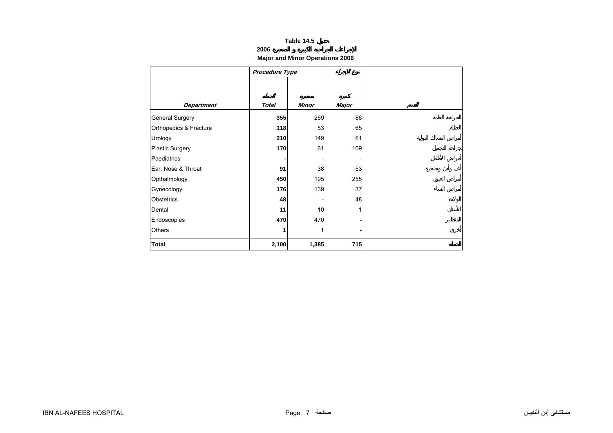# **2006**

# **Major and Minor Operations 2006**

<span id="page-5-0"></span>

|                        | Procedure Type |       |       |  |
|------------------------|----------------|-------|-------|--|
|                        |                |       |       |  |
|                        |                |       |       |  |
| <b>Department</b>      | <b>Total</b>   | Minor | Major |  |
| General Surgery        | 355            | 269   | 86    |  |
| Orthopedics & Fracture | 118            | 53    | 65    |  |
| Urology                | 210            | 149   | 61    |  |
| <b>Plastic Surgery</b> | 170            | 61    | 109   |  |
| Paediatrics            |                |       |       |  |
| Ear, Nose & Throat     | 91             | 38    | 53    |  |
| Opthalmology           | 450            | 195   | 255   |  |
| Gynecology             | 176            | 139   | 37    |  |
| <b>Obstetrics</b>      | 48             |       | 48    |  |
| Dental                 | 11             | 10    |       |  |
| Endoscopies            | 470            | 470   |       |  |
| Others                 | 1              | 1     |       |  |
| <b>Total</b>           | 2,100          | 1,385 | 715   |  |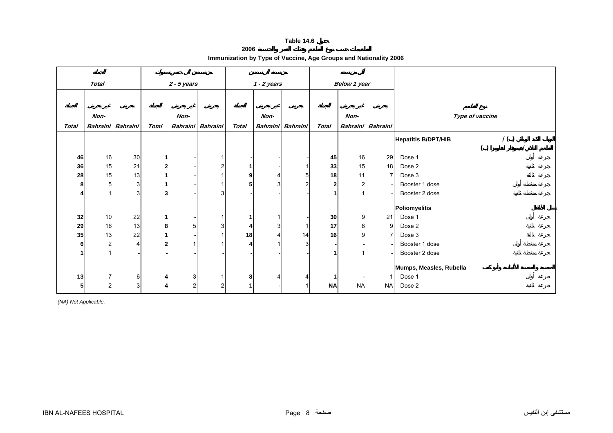**2006**

|  | Immunization by Type of Vaccine, Age Groups and Nationality 2006 |  |  |  |
|--|------------------------------------------------------------------|--|--|--|
|--|------------------------------------------------------------------|--|--|--|

<span id="page-6-0"></span>

|              | <b>Total</b>   |                   |              | $2 - 5$ years  |                   |              | $1 - 2$ years |                   |              | <b>Below 1 year</b> |                |                                   |
|--------------|----------------|-------------------|--------------|----------------|-------------------|--------------|---------------|-------------------|--------------|---------------------|----------------|-----------------------------------|
|              |                |                   |              |                |                   |              |               |                   |              |                     |                |                                   |
|              | Non-           |                   |              | Non-           |                   |              | Non-          |                   |              | Non-                |                | Type of vaccine                   |
| <b>Total</b> |                | Bahraini Bahraini | Total        |                | Bahraini Bahraini | <b>Total</b> |               | Bahraini Bahraini | <b>Total</b> | <b>Bahraini</b>     | Bahraini       |                                   |
|              |                |                   |              |                |                   |              |               |                   |              |                     |                | 1()<br><b>Hepatitis B/DPT/HIB</b> |
|              |                |                   |              |                |                   |              |               |                   |              |                     |                | ( )                               |
| 46           | 16             | 30                | $\mathbf{1}$ |                |                   |              |               |                   | 45           | 16                  | 29             | Dose 1                            |
| 36           | 15             | 21                | $\mathbf 2$  |                | 2                 | 1            |               |                   | 33           | 15                  | 18             | Dose 2                            |
| 28           | 15             | 13                | $\mathbf{1}$ |                |                   | 9            |               | 5                 | 18           | 11                  | $\overline{7}$ | Dose 3                            |
| 8            | 5              | 3                 | 1            |                |                   | 5            |               | 2                 | 2            |                     |                | Booster 1 dose                    |
| 4            |                | 3                 | 3            |                | 3                 |              |               |                   |              |                     |                | Booster 2 dose                    |
|              |                |                   |              |                |                   |              |               |                   |              |                     |                | Poliomyelitis                     |
| 32           | 10             | 22                | $\mathbf 1$  |                |                   | 1            |               |                   | 30           | 9                   | 21             | Dose 1                            |
| 29           | 16             | 13                | 8            | 5              | 3                 | 4            |               |                   | 17           | 8                   | 9              | Dose 2                            |
| 35           | 13             | 22                | 1            |                |                   | 18           |               | 14                | 16           | 9                   | $\overline{7}$ | Dose 3                            |
| 6            | $\overline{2}$ | $\overline{4}$    | $\mathbf{2}$ |                |                   | 4            |               | 3                 |              |                     |                | Booster 1 dose                    |
| 1            |                |                   |              |                |                   |              |               |                   |              |                     |                |                                   |
|              |                |                   |              |                |                   |              |               |                   |              |                     |                | Booster 2 dose                    |
|              |                |                   |              |                |                   |              |               |                   |              |                     |                | Mumps, Measles, Rubella           |
| 13           | $\overline{7}$ | 6                 | 4            | 3 <sup>1</sup> |                   | 8            |               |                   |              |                     |                | Dose 1                            |
| 5            | $\overline{2}$ | 3                 | 4            | 2              |                   |              |               |                   | <b>NA</b>    | <b>NA</b>           | <b>NA</b>      | Dose 2                            |

*(NA) Not Applicable.*